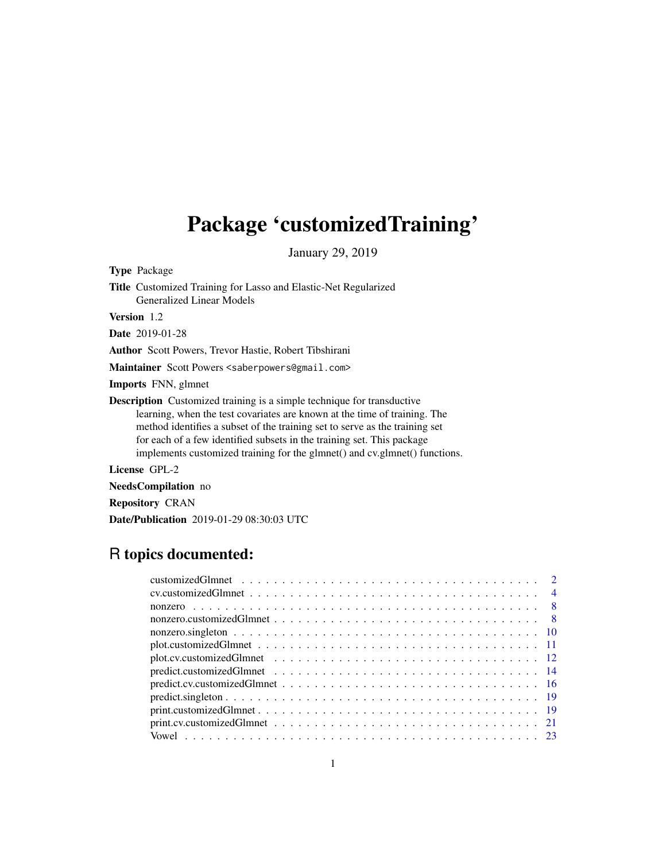# <span id="page-0-0"></span>Package 'customizedTraining'

January 29, 2019

Type Package

Title Customized Training for Lasso and Elastic-Net Regularized Generalized Linear Models

Version 1.2

Date 2019-01-28

Author Scott Powers, Trevor Hastie, Robert Tibshirani

Maintainer Scott Powers <saberpowers@gmail.com>

Imports FNN, glmnet

Description Customized training is a simple technique for transductive learning, when the test covariates are known at the time of training. The method identifies a subset of the training set to serve as the training set for each of a few identified subsets in the training set. This package implements customized training for the glmnet() and cv.glmnet() functions.

License GPL-2

NeedsCompilation no

Repository CRAN

Date/Publication 2019-01-29 08:30:03 UTC

# R topics documented:

| $predict.cv.customizedGlmnet \dots \dots \dots \dots \dots \dots \dots \dots \dots \dots \dots \dots \dots \dots \dots \dots \dots \dots$ |  |  |  |  |  |
|-------------------------------------------------------------------------------------------------------------------------------------------|--|--|--|--|--|
|                                                                                                                                           |  |  |  |  |  |
|                                                                                                                                           |  |  |  |  |  |
|                                                                                                                                           |  |  |  |  |  |
|                                                                                                                                           |  |  |  |  |  |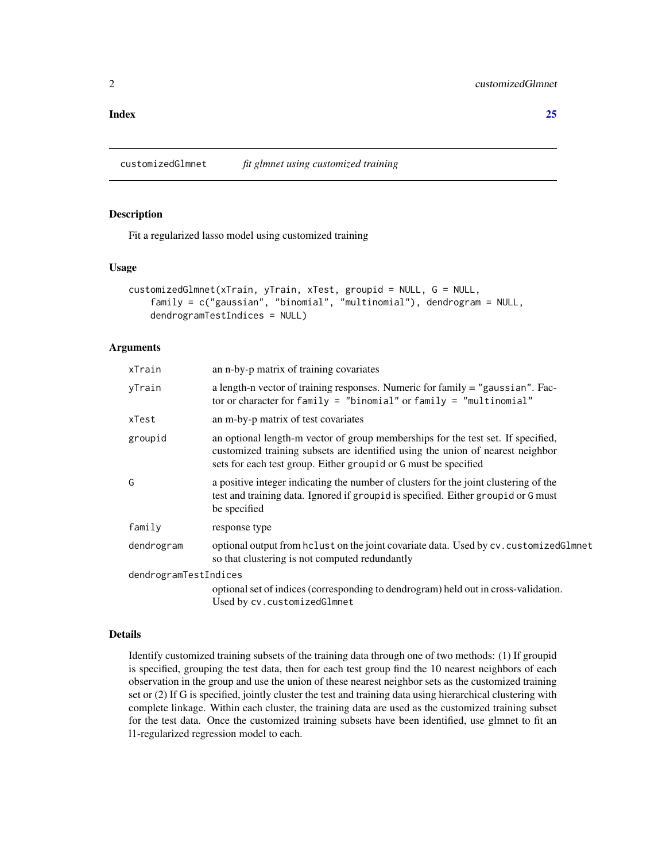#### <span id="page-1-0"></span>**Index** [25](#page-24-0)

<span id="page-1-1"></span>customizedGlmnet *fit glmnet using customized training*

# Description

Fit a regularized lasso model using customized training

# Usage

```
customizedGlmnet(xTrain, yTrain, xTest, groupid = NULL, G = NULL,
    family = c("gaussian", "binomial", "multinomial"), dendrogram = NULL,
   dendrogramTestIndices = NULL)
```
#### Arguments

| xTrain                | an n-by-p matrix of training covariates                                                                                                                                                                                               |
|-----------------------|---------------------------------------------------------------------------------------------------------------------------------------------------------------------------------------------------------------------------------------|
| yTrain                | a length-n vector of training responses. Numeric for family = "gaussian". Fac-<br>tor or character for family = "binomial" or family = "multinomial"                                                                                  |
| xTest                 | an m-by-p matrix of test covariates                                                                                                                                                                                                   |
| groupid               | an optional length-m vector of group memberships for the test set. If specified,<br>customized training subsets are identified using the union of nearest neighbor<br>sets for each test group. Either groupid or G must be specified |
| G                     | a positive integer indicating the number of clusters for the joint clustering of the<br>test and training data. Ignored if groupid is specified. Either groupid or G must<br>be specified                                             |
| family                | response type                                                                                                                                                                                                                         |
| dendrogram            | optional output from helust on the joint covariate data. Used by cv. customizedGlmnet<br>so that clustering is not computed redundantly                                                                                               |
| dendrogramTestIndices |                                                                                                                                                                                                                                       |
|                       | optional set of indices (corresponding to dendrogram) held out in cross-validation.                                                                                                                                                   |
|                       | Used by cv. customizedGlmnet                                                                                                                                                                                                          |

#### Details

Identify customized training subsets of the training data through one of two methods: (1) If groupid is specified, grouping the test data, then for each test group find the 10 nearest neighbors of each observation in the group and use the union of these nearest neighbor sets as the customized training set or (2) If G is specified, jointly cluster the test and training data using hierarchical clustering with complete linkage. Within each cluster, the training data are used as the customized training subset for the test data. Once the customized training subsets have been identified, use glmnet to fit an l1-regularized regression model to each.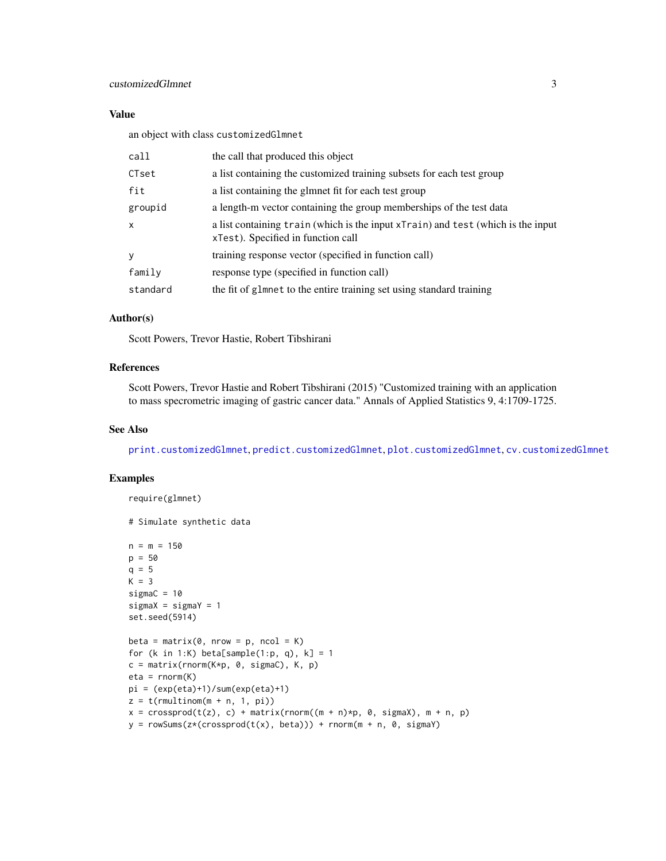# <span id="page-2-0"></span>customizedGlmnet 3

#### Value

an object with class customizedGlmnet

| call     | the call that produced this object                                                                                     |
|----------|------------------------------------------------------------------------------------------------------------------------|
| CTset    | a list containing the customized training subsets for each test group                                                  |
| fit      | a list containing the glmnet fit for each test group                                                                   |
| groupid  | a length-m vector containing the group memberships of the test data                                                    |
| X        | a list containing train (which is the input xTrain) and test (which is the input<br>xTest). Specified in function call |
| y        | training response vector (specified in function call)                                                                  |
| family   | response type (specified in function call)                                                                             |
| standard | the fit of glmnet to the entire training set using standard training                                                   |

#### Author(s)

Scott Powers, Trevor Hastie, Robert Tibshirani

#### References

Scott Powers, Trevor Hastie and Robert Tibshirani (2015) "Customized training with an application to mass specrometric imaging of gastric cancer data." Annals of Applied Statistics 9, 4:1709-1725.

# See Also

[print.customizedGlmnet](#page-18-1), [predict.customizedGlmnet](#page-13-1), [plot.customizedGlmnet](#page-10-1), [cv.customizedGlmnet](#page-3-1)

```
require(glmnet)
# Simulate synthetic data
n = m = 150p = 50q = 5K = 3sigmaC = 10sigmaX = sigmaY = 1set.seed(5914)
beta = matrix(0, nrow = p, ncol = K)for (k in 1:K) beta[sample(1:p, q), k] = 1
c = matrix(rnorm(K*p, 0, sigmaC), K, p)eta = rnorm(K)pi = (exp(eta)+1)/sum(exp(eta)+1)
z = t(rmultinom(m + n, 1, pi))x = crossprod(t(z), c) + matrix(rnorm((m + n)*p, 0, sigmaX), m + n, p)y = \text{rowsums}(z * (\text{crossprod}(t(x), \text{beta}))) + \text{norm}(m + n, \theta, \text{sigma}Y)
```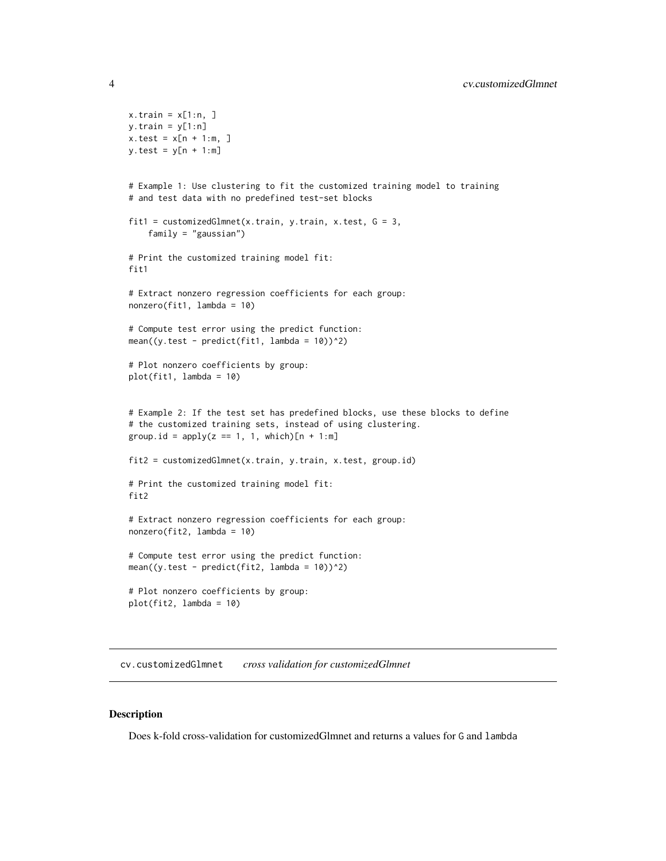```
x.train = x[1:n, ]y.train = y[1:n]x.test = x[n + 1:m, ]y.test = y[n + 1:m]# Example 1: Use clustering to fit the customized training model to training
# and test data with no predefined test-set blocks
fit1 = customizedGlmnet(x.train, y.train, x.test, G = 3,
    family = "gaussian")
# Print the customized training model fit:
fit1
# Extract nonzero regression coefficients for each group:
nonzero(fit1, lambda = 10)
# Compute test error using the predict function:
mean((y.test - predict(fit1, lambda = 10))^2)# Plot nonzero coefficients by group:
plot(fit1, lambda = 10)
# Example 2: If the test set has predefined blocks, use these blocks to define
# the customized training sets, instead of using clustering.
group.id = apply(z == 1, 1, which)[n + 1:m]
fit2 = customizedGlmnet(x.train, y.train, x.test, group.id)
# Print the customized training model fit:
fit2
# Extract nonzero regression coefficients for each group:
nonzero(fit2, lambda = 10)
# Compute test error using the predict function:
mean((y.test - predict(fit2, lambda = 10))^2)# Plot nonzero coefficients by group:
plot(fit2, lambda = 10)
```
<span id="page-3-1"></span>cv.customizedGlmnet *cross validation for customizedGlmnet*

#### Description

Does k-fold cross-validation for customizedGlmnet and returns a values for G and lambda

<span id="page-3-0"></span>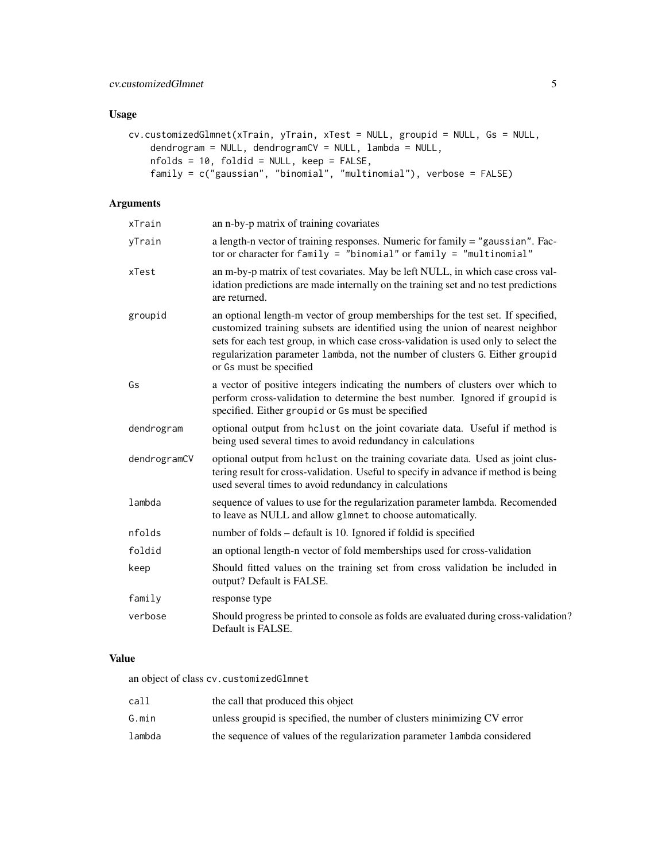# Usage

```
cv.customizedGlmnet(xTrain, yTrain, xTest = NULL, groupid = NULL, Gs = NULL,
   dendrogram = NULL, dendrogramCV = NULL, lambda = NULL,
   nfolds = 10, foldi = NULL, keep = FALSE,
    family = c("gaussian", "binomial", "multinomial"), verbose = FALSE)
```
# Arguments

| xTrain       | an n-by-p matrix of training covariates                                                                                                                                                                                                                                                                                                                               |
|--------------|-----------------------------------------------------------------------------------------------------------------------------------------------------------------------------------------------------------------------------------------------------------------------------------------------------------------------------------------------------------------------|
| yTrain       | a length-n vector of training responses. Numeric for family = "gaussian". Fac-<br>tor or character for family = "binomial" or family = "multinomial"                                                                                                                                                                                                                  |
| xTest        | an m-by-p matrix of test covariates. May be left NULL, in which case cross val-<br>idation predictions are made internally on the training set and no test predictions<br>are returned.                                                                                                                                                                               |
| groupid      | an optional length-m vector of group memberships for the test set. If specified,<br>customized training subsets are identified using the union of nearest neighbor<br>sets for each test group, in which case cross-validation is used only to select the<br>regularization parameter lambda, not the number of clusters G. Either groupid<br>or Gs must be specified |
| Gs           | a vector of positive integers indicating the numbers of clusters over which to<br>perform cross-validation to determine the best number. Ignored if groupid is<br>specified. Either groupid or Gs must be specified                                                                                                                                                   |
| dendrogram   | optional output from hclust on the joint covariate data. Useful if method is<br>being used several times to avoid redundancy in calculations                                                                                                                                                                                                                          |
| dendrogramCV | optional output from hclust on the training covariate data. Used as joint clus-<br>tering result for cross-validation. Useful to specify in advance if method is being<br>used several times to avoid redundancy in calculations                                                                                                                                      |
| lambda       | sequence of values to use for the regularization parameter lambda. Recomended<br>to leave as NULL and allow glmnet to choose automatically.                                                                                                                                                                                                                           |
| nfolds       | number of folds – default is 10. Ignored if foldid is specified                                                                                                                                                                                                                                                                                                       |
| foldid       | an optional length-n vector of fold memberships used for cross-validation                                                                                                                                                                                                                                                                                             |
| keep         | Should fitted values on the training set from cross validation be included in<br>output? Default is FALSE.                                                                                                                                                                                                                                                            |
| family       | response type                                                                                                                                                                                                                                                                                                                                                         |
| verbose      | Should progress be printed to console as folds are evaluated during cross-validation?<br>Default is FALSE.                                                                                                                                                                                                                                                            |

# Value

an object of class cv.customizedGlmnet

| call   | the call that produced this object                                       |
|--------|--------------------------------------------------------------------------|
| G.min  | unless groupid is specified, the number of clusters minimizing CV error  |
| lambda | the sequence of values of the regularization parameter lambda considered |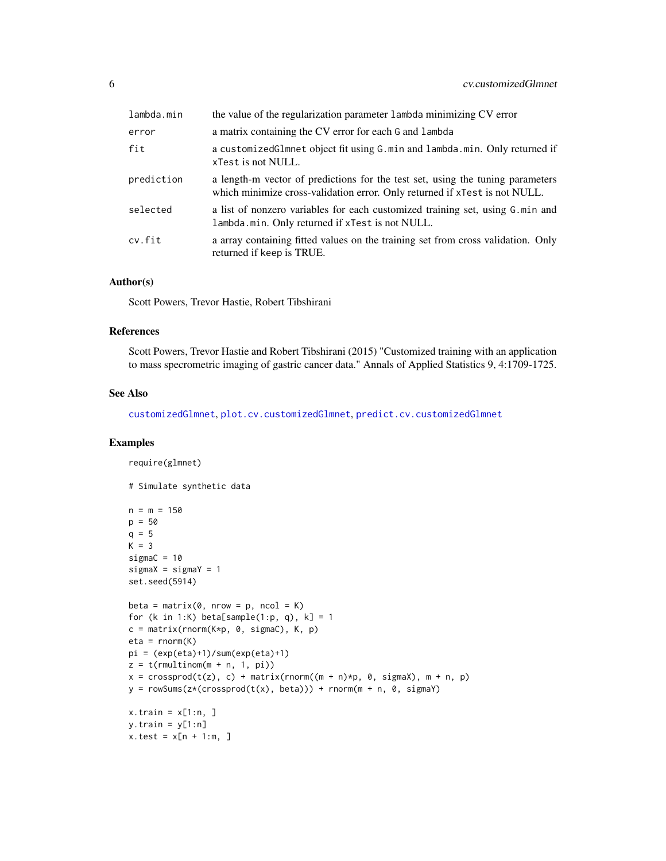<span id="page-5-0"></span>

| lambda.min | the value of the regularization parameter 1 ambda minimizing CV error                                                                                        |
|------------|--------------------------------------------------------------------------------------------------------------------------------------------------------------|
| error      | a matrix containing the CV error for each G and lambda                                                                                                       |
| fit        | a customized Glmnet object fit using G.min and lambda.min. Only returned if<br>xTest is not NULL.                                                            |
| prediction | a length-m vector of predictions for the test set, using the tuning parameters<br>which minimize cross-validation error. Only returned if xTest is not NULL. |
| selected   | a list of nonzero variables for each customized training set, using G. min and<br>lambda.min. Only returned if xTest is not NULL.                            |
| cv.fit     | a array containing fitted values on the training set from cross validation. Only<br>returned if keep is TRUE.                                                |

# Author(s)

Scott Powers, Trevor Hastie, Robert Tibshirani

# References

Scott Powers, Trevor Hastie and Robert Tibshirani (2015) "Customized training with an application to mass specrometric imaging of gastric cancer data." Annals of Applied Statistics 9, 4:1709-1725.

# See Also

[customizedGlmnet](#page-1-1), [plot.cv.customizedGlmnet](#page-11-1), [predict.cv.customizedGlmnet](#page-15-1)

```
require(glmnet)
# Simulate synthetic data
n = m = 150p = 50q = 5K = 3sigmaC = 10signaX = signaY = 1set.seed(5914)
beta = matrix(0, nrow = p, ncol = K)for (k in 1:K) beta[sample(1:p, q), k] = 1
c = matrix(rnorm(K * p, 0, sigmaC), K, p)eta = rnorm(K)pi = (exp(eta)+1)/sum(exp(eta)+1)
z = t(rmultinom(m + n, 1, pi)x = \text{crossprod}(t(z), c) + \text{matrix}(r \cdot n) \cdot (m + n) \cdot p, 0, \text{sigma} x), m + n, py = rowsums(z*(crossprod(t(x), beta))) + rnorm(m + n, 0, sigmaY)x.train = x[1:n, ]y.train = y[1:n]x.test = x[n + 1:m, ]
```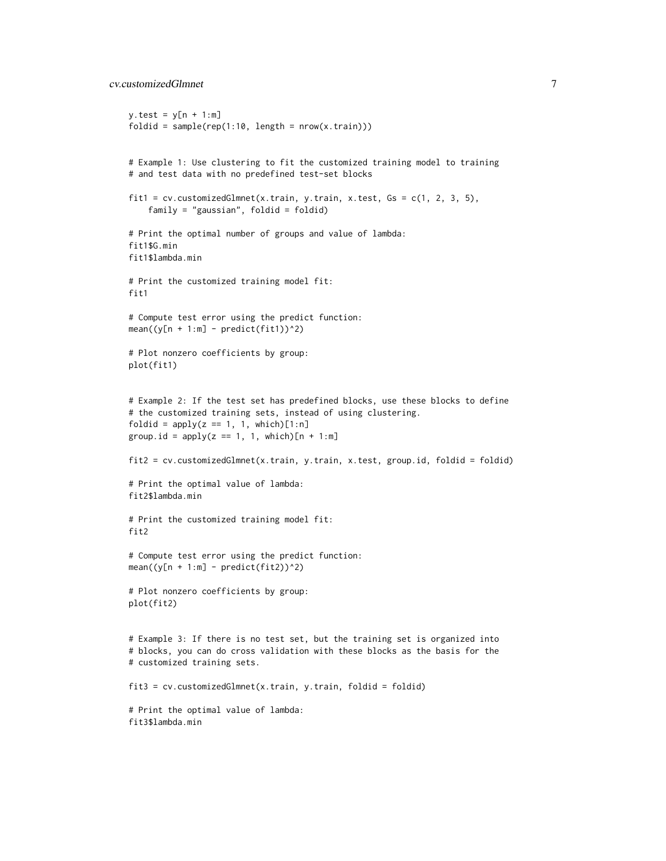```
y.test = y[n + 1:m]foldid = sample(rep(1:10, length = nrow(x.train)))# Example 1: Use clustering to fit the customized training model to training
# and test data with no predefined test-set blocks
fit1 = cv.customizedGlmnet(x.train, y.train, x.test, Gs = c(1, 2, 3, 5),
    family = "gaussian", foldid = foldid)
# Print the optimal number of groups and value of lambda:
fit1$G.min
fit1$lambda.min
# Print the customized training model fit:
fit1
# Compute test error using the predict function:
mean((y[n + 1:m] - predict(fitt))<sup>2</sup>)
# Plot nonzero coefficients by group:
plot(fit1)
# Example 2: If the test set has predefined blocks, use these blocks to define
# the customized training sets, instead of using clustering.
foldid = apply(z == 1, 1, which)[1:n]group.id = apply(z == 1, 1, which)[n + 1:m]fit2 = cv.customizedGlmnet(x.train, y.train, x.test, group.id, foldid = foldid)
# Print the optimal value of lambda:
fit2$lambda.min
# Print the customized training model fit:
fit2
# Compute test error using the predict function:
mean((y[n + 1:m] - predict(fit2))^2)# Plot nonzero coefficients by group:
plot(fit2)
# Example 3: If there is no test set, but the training set is organized into
# blocks, you can do cross validation with these blocks as the basis for the
# customized training sets.
fit3 = cv.customizedGlmnet(x.train, y.train, foldid = foldid)
# Print the optimal value of lambda:
fit3$lambda.min
```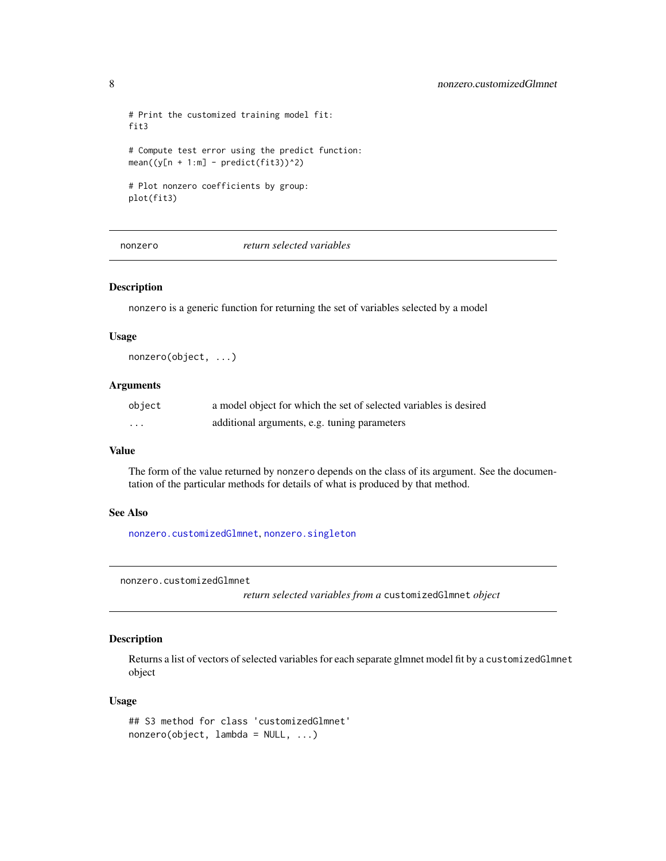```
# Print the customized training model fit:
fit3
# Compute test error using the predict function:
mean((y[n + 1:m] - predict(fits))^2)# Plot nonzero coefficients by group:
plot(fit3)
```
<span id="page-7-2"></span>nonzero *return selected variables*

# Description

nonzero is a generic function for returning the set of variables selected by a model

#### Usage

nonzero(object, ...)

# Arguments

| object | a model object for which the set of selected variables is desired |
|--------|-------------------------------------------------------------------|
| .      | additional arguments, e.g. tuning parameters                      |

#### Value

The form of the value returned by nonzero depends on the class of its argument. See the documentation of the particular methods for details of what is produced by that method.

# See Also

[nonzero.customizedGlmnet](#page-7-1), [nonzero.singleton](#page-9-1)

<span id="page-7-1"></span>nonzero.customizedGlmnet

*return selected variables from a* customizedGlmnet *object*

# Description

Returns a list of vectors of selected variables for each separate glmnet model fit by a customizedGlmnet object

# Usage

```
## S3 method for class 'customizedGlmnet'
nonzero(object, lambda = NULL, ...)
```
<span id="page-7-0"></span>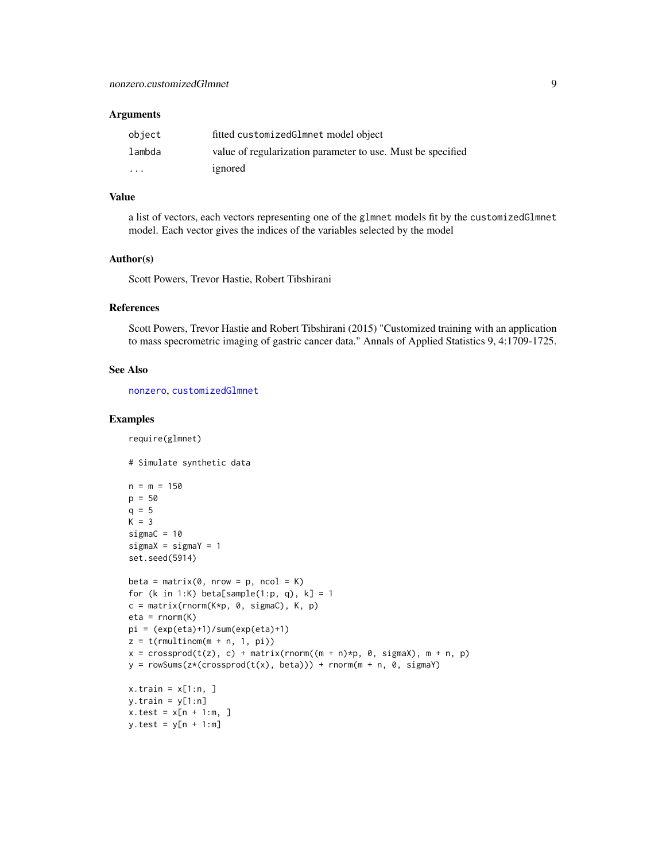#### <span id="page-8-0"></span>**Arguments**

| object | fitted customizedGlmnet model object                        |
|--------|-------------------------------------------------------------|
| lambda | value of regularization parameter to use. Must be specified |
| .      | ignored                                                     |

# Value

a list of vectors, each vectors representing one of the glmnet models fit by the customizedGlmnet model. Each vector gives the indices of the variables selected by the model

# Author(s)

Scott Powers, Trevor Hastie, Robert Tibshirani

# References

Scott Powers, Trevor Hastie and Robert Tibshirani (2015) "Customized training with an application to mass specrometric imaging of gastric cancer data." Annals of Applied Statistics 9, 4:1709-1725.

#### See Also

[nonzero](#page-7-2), [customizedGlmnet](#page-1-1)

#### Examples

require(glmnet)

# Simulate synthetic data

```
n = m = 150p = 50q = 5K = 3sigmaC = 10sigmaX = sigmaY = 1set.seed(5914)
beta = matrix(0, nrow = p, ncol = K)for (k in 1:K) beta[sample(1:p, q), k] = 1
c = matrix(rnorm(K*p, 0, sigmaC), K, p)eta = rnorm(K)pi = (exp(eta)+1)/sum(exp(eta)+1)
z = t(rmultinom(m + n, 1, pi))x = crossprod(t(z), c) + matrix(rnorm((m + n)*p, 0, sigmaX), m + n, p)y = \text{rowSums}(z * (\text{crossprod}(t(x), \text{beta}))) + \text{norm}(m + n, 0, \text{sigma}Y)x.train = x[1:n, ]y.train = y[1:n]x.test = x[n + 1:m, ]y.test = y[n + 1:m]
```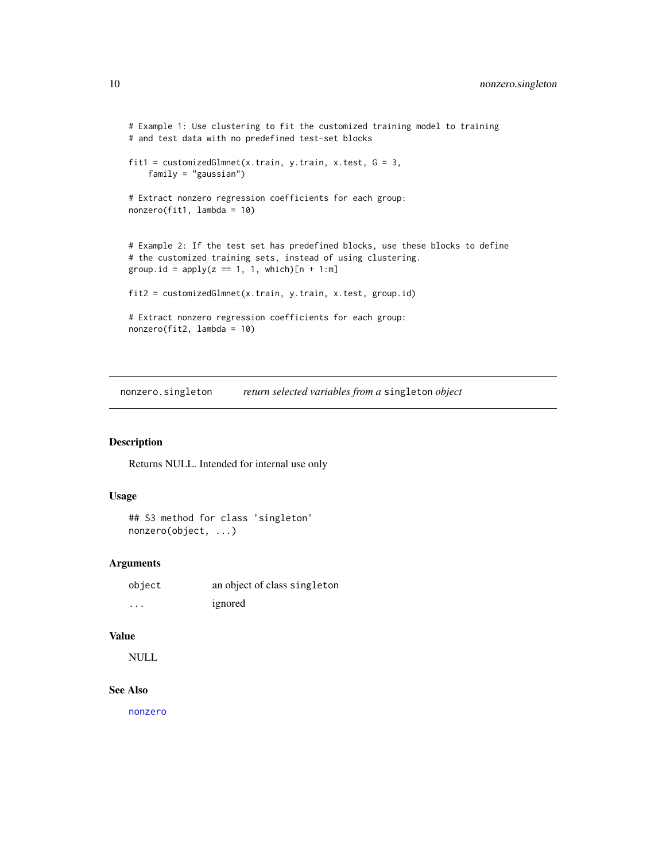```
# Example 1: Use clustering to fit the customized training model to training
# and test data with no predefined test-set blocks
fit1 = customizedGlmnet(x.train, y.train, x.test, G = 3,
   family = "gaussian")
# Extract nonzero regression coefficients for each group:
nonzero(fit1, lambda = 10)
# Example 2: If the test set has predefined blocks, use these blocks to define
# the customized training sets, instead of using clustering.
group.id = apply(z == 1, 1, which)[n + 1:m]fit2 = customizedGlmnet(x.train, y.train, x.test, group.id)
# Extract nonzero regression coefficients for each group:
nonzero(fit2, lambda = 10)
```
<span id="page-9-1"></span>nonzero.singleton *return selected variables from a* singleton *object*

# Description

Returns NULL. Intended for internal use only

#### Usage

## S3 method for class 'singleton' nonzero(object, ...)

# Arguments

| object                  | an object of class singleton |
|-------------------------|------------------------------|
| $\cdot$ $\cdot$ $\cdot$ | ignored                      |

# Value

NULL

# See Also

[nonzero](#page-7-2)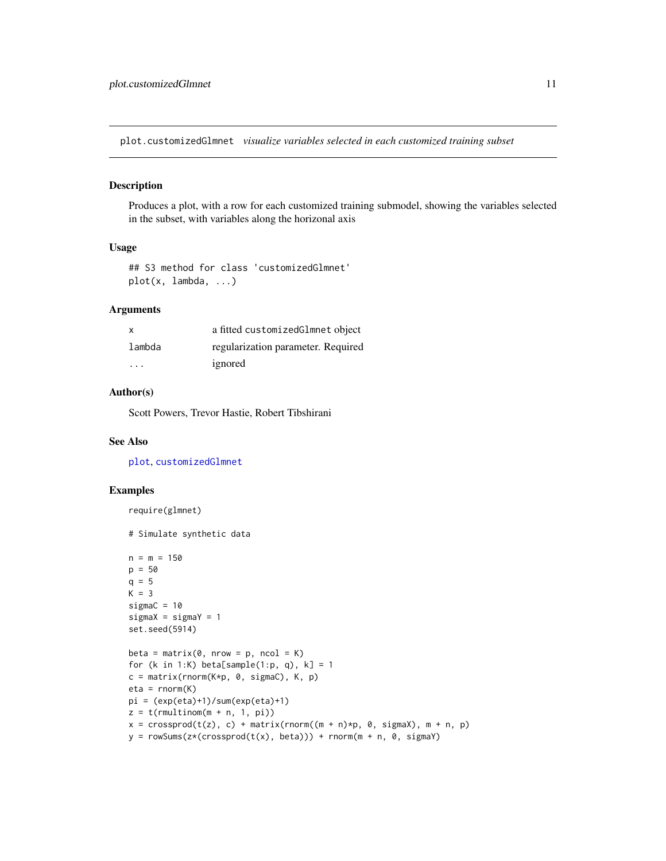<span id="page-10-1"></span><span id="page-10-0"></span>plot.customizedGlmnet *visualize variables selected in each customized training subset*

# Description

Produces a plot, with a row for each customized training submodel, showing the variables selected in the subset, with variables along the horizonal axis

#### Usage

```
## S3 method for class 'customizedGlmnet'
plot(x, lambda, ...)
```
#### Arguments

| x      | a fitted customized Glmnet object  |
|--------|------------------------------------|
| lambda | regularization parameter. Required |
| .      | ignored                            |

#### Author(s)

Scott Powers, Trevor Hastie, Robert Tibshirani

# See Also

[plot](#page-0-0), [customizedGlmnet](#page-1-1)

# Examples

require(glmnet)

# Simulate synthetic data  $n = m = 150$ p = 50  $q = 5$  $K = 3$ sigmaC =  $10$  $sigmaX = sigmaY = 1$ set.seed(5914) beta = matrix $(0, nrow = p, ncol = K)$ for (k in 1:K) beta[sample(1:p, q),  $k$ ] = 1  $c = matrix(rnorm(K*p, 0, sigmaC), K, p)$  $eta = rnorm(K)$ pi = (exp(eta)+1)/sum(exp(eta)+1)  $z = t(r$ multinom $(m + n, 1, pi))$  $x = crossprod(t(z), c) + matrix(rnorm((m + n)*p, 0, sigmaX), m + n, p)$  $y = \text{rowsums}(z*(\text{crossprod}(t(x), \text{beta}))) + \text{norm}(m + n, 0, \text{sigma}Y)$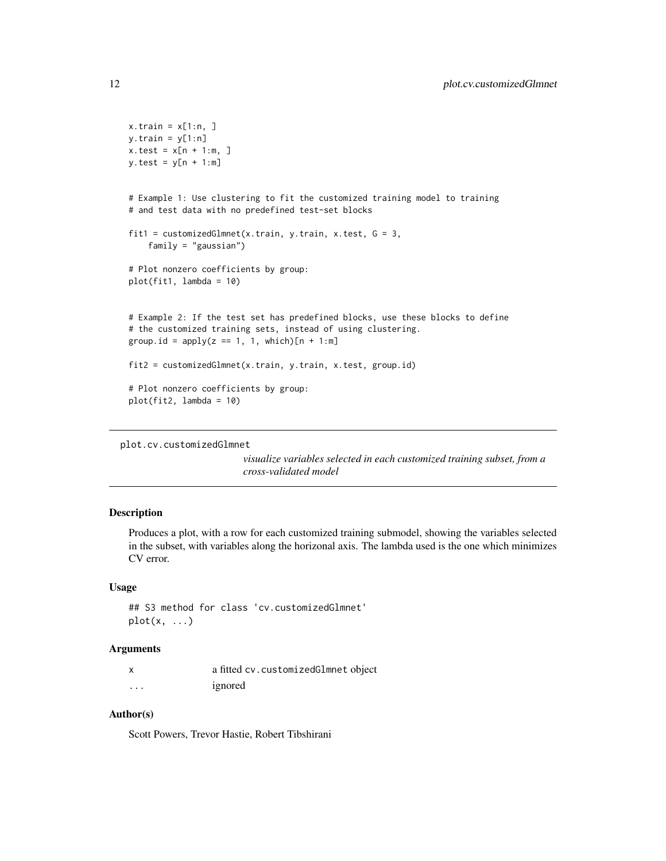```
x.train = x[1:n, ]y.train = y[1:n]x.test = x[n + 1:m, ]y.test = y[n + 1:m]# Example 1: Use clustering to fit the customized training model to training
# and test data with no predefined test-set blocks
fit1 = customizedGlmnet(x.train, y.train, x.test, G = 3,
    family = "gaussian")
# Plot nonzero coefficients by group:
plot(fit1, lambda = 10)
# Example 2: If the test set has predefined blocks, use these blocks to define
# the customized training sets, instead of using clustering.
group.id = apply(z == 1, 1, which)[n + 1:m]fit2 = customizedGlmnet(x.train, y.train, x.test, group.id)
# Plot nonzero coefficients by group:
plot(fit2, lambda = 10)
```

```
plot.cv.customizedGlmnet
```
*visualize variables selected in each customized training subset, from a cross-validated model*

# Description

Produces a plot, with a row for each customized training submodel, showing the variables selected in the subset, with variables along the horizonal axis. The lambda used is the one which minimizes CV error.

#### Usage

## S3 method for class 'cv.customizedGlmnet'  $plot(x, \ldots)$ 

#### Arguments

| x        | a fitted cv. customized Glmnet object |
|----------|---------------------------------------|
| $\cdots$ | ignored                               |

#### Author(s)

Scott Powers, Trevor Hastie, Robert Tibshirani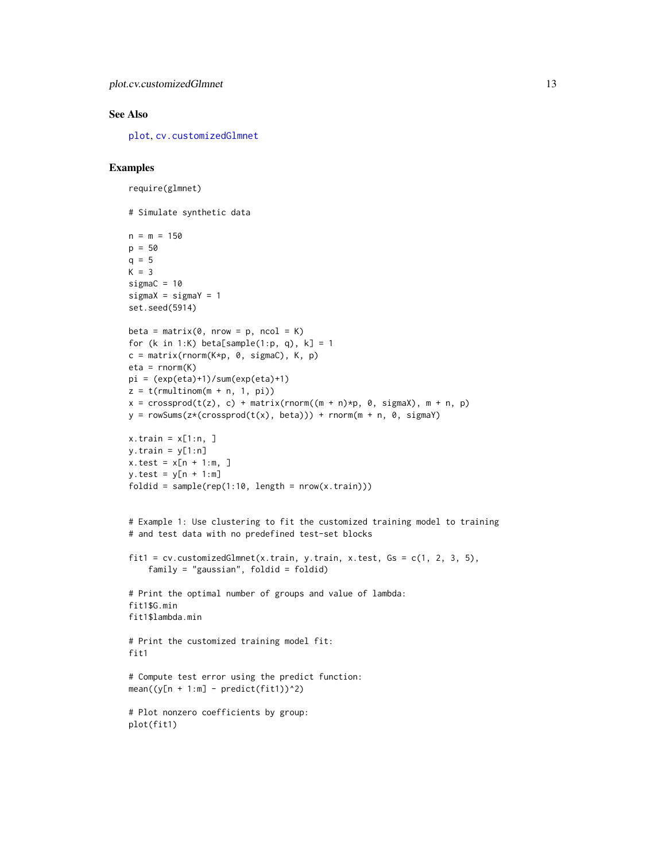#### <span id="page-12-0"></span>See Also

[plot](#page-0-0), [cv.customizedGlmnet](#page-3-1)

```
require(glmnet)
# Simulate synthetic data
n = m = 150p = 50q = 5K = 3sigmaC = 10sigmaX = sigmaY = 1set.seed(5914)
beta = matrix(0, nrow = p, ncol = K)for (k in 1:K) beta[sample(1:p, q), k] = 1
c = matrix(rnorm(K * p, 0, sigmaC), K, p)eta = rnorm(K)pi = (exp(eta)+1)/sum(exp(eta)+1)z = t(rmultinom(m + n, 1, pi))x = crossprod(t(z), c) + matrix(rnorm((m + n)*p, 0, signaX), m + n, p)y = rowsums(z*(crossprod(t(x), beta))) + rnorm(m + n, 0, sigmaY)x.train = x[1:n, ]y.train = y[1:n]x.test = x[n + 1:m, ]y.test = y[n + 1:m]
foldid = sample(rep(1:10, length = nrow(x.train)))# Example 1: Use clustering to fit the customized training model to training
# and test data with no predefined test-set blocks
fit1 = cv.customizedGlmnet(x.train, y.train, x.test, Gs = <math>c(1, 2, 3, 5)</math>,family = "gaussian", foldid = foldid)
# Print the optimal number of groups and value of lambda:
fit1$G.min
fit1$lambda.min
# Print the customized training model fit:
fit1
# Compute test error using the predict function:
mean((y[n + 1:m] - predict(fit1))^2)# Plot nonzero coefficients by group:
plot(fit1)
```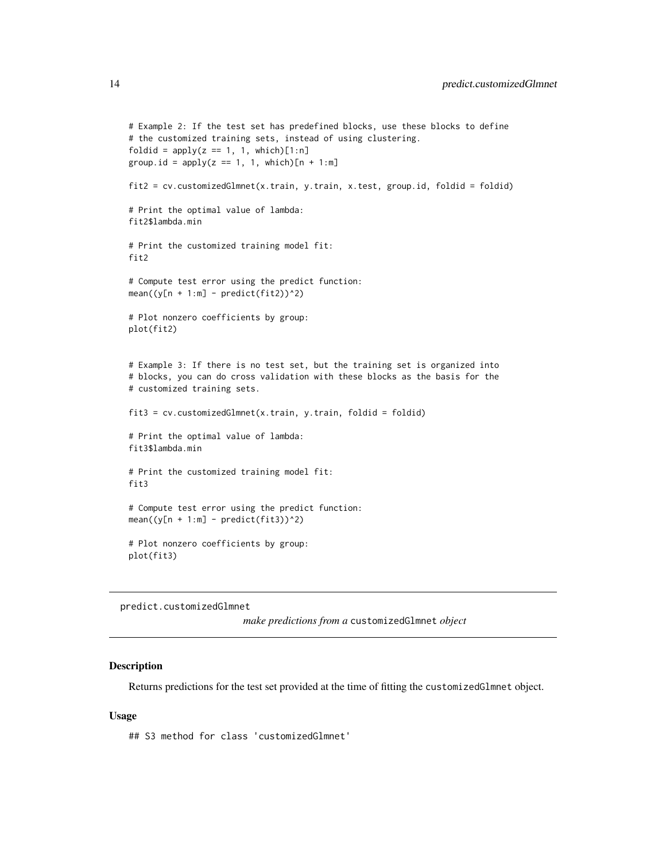```
# Example 2: If the test set has predefined blocks, use these blocks to define
# the customized training sets, instead of using clustering.
foldid = apply(z == 1, 1, which)[1:n]group.id = apply(z == 1, 1, which)[n + 1:m]fit2 = cv.customizedGlmnet(x.train, y.train, x.test, group.id, foldid = foldid)
# Print the optimal value of lambda:
fit2$lambda.min
# Print the customized training model fit:
fit2
# Compute test error using the predict function:
mean((y[n + 1:m] - predict(fit2))^2)# Plot nonzero coefficients by group:
plot(fit2)
# Example 3: If there is no test set, but the training set is organized into
# blocks, you can do cross validation with these blocks as the basis for the
# customized training sets.
fit3 = cv.customizedGlmnet(x.train, y.train, foldid = foldid)
# Print the optimal value of lambda:
fit3$lambda.min
# Print the customized training model fit:
fit3
# Compute test error using the predict function:
mean((y[n + 1:m] - predict(fit3))^2)# Plot nonzero coefficients by group:
plot(fit3)
```
<span id="page-13-1"></span>predict.customizedGlmnet

*make predictions from a* customizedGlmnet *object*

# Description

Returns predictions for the test set provided at the time of fitting the customizedGlmnet object.

#### Usage

## S3 method for class 'customizedGlmnet'

<span id="page-13-0"></span>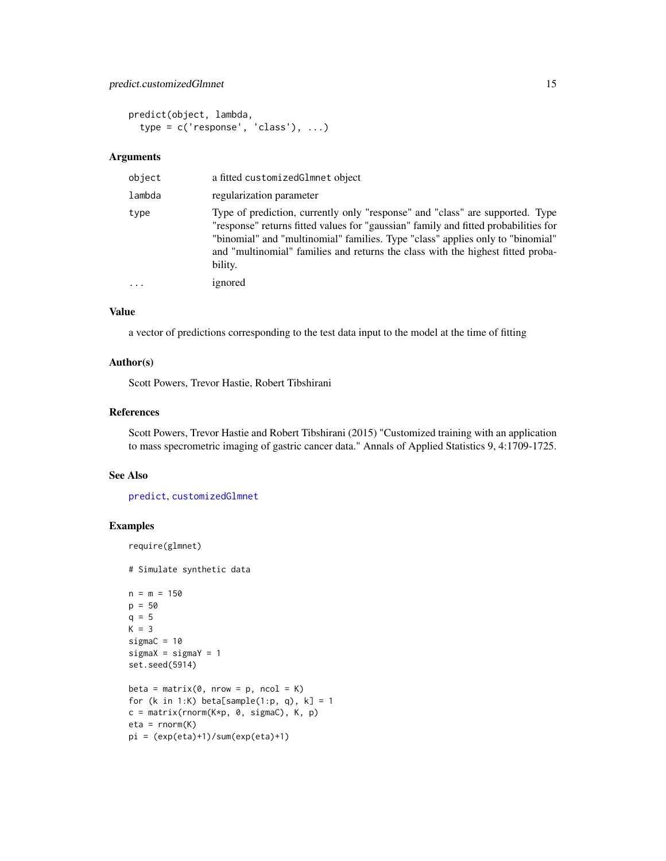# <span id="page-14-0"></span>predict.customizedGlmnet 15

```
predict(object, lambda,
  type = c('response', 'class'), ...)
```
#### Arguments

| object | a fitted customizedGlmnet object                                                                                                                                                                                                                                                                                                                     |
|--------|------------------------------------------------------------------------------------------------------------------------------------------------------------------------------------------------------------------------------------------------------------------------------------------------------------------------------------------------------|
| lambda | regularization parameter                                                                                                                                                                                                                                                                                                                             |
| type   | Type of prediction, currently only "response" and "class" are supported. Type<br>"response" returns fitted values for "gaussian" family and fitted probabilities for<br>"binomial" and "multinomial" families. Type "class" applies only to "binomial"<br>and "multinomial" families and returns the class with the highest fitted proba-<br>bility. |
|        | ignored                                                                                                                                                                                                                                                                                                                                              |

# Value

a vector of predictions corresponding to the test data input to the model at the time of fitting

#### Author(s)

Scott Powers, Trevor Hastie, Robert Tibshirani

# References

Scott Powers, Trevor Hastie and Robert Tibshirani (2015) "Customized training with an application to mass specrometric imaging of gastric cancer data." Annals of Applied Statistics 9, 4:1709-1725.

#### See Also

[predict](#page-0-0), [customizedGlmnet](#page-1-1)

# Examples

require(glmnet)

# Simulate synthetic data

```
n = m = 150p = 50q = 5K = 3sigmaC = 10signaX = signaY = 1set.seed(5914)
beta = matrix(0, nrow = p, ncol = K)for (k in 1:K) beta[sample(1:p, q), k] = 1
c = matrix(rnorm(K*p, 0, sigmaC), K, p)eta = rnorm(K)
pi = (exp(eta)+1)/sum(exp(eta)+1)
```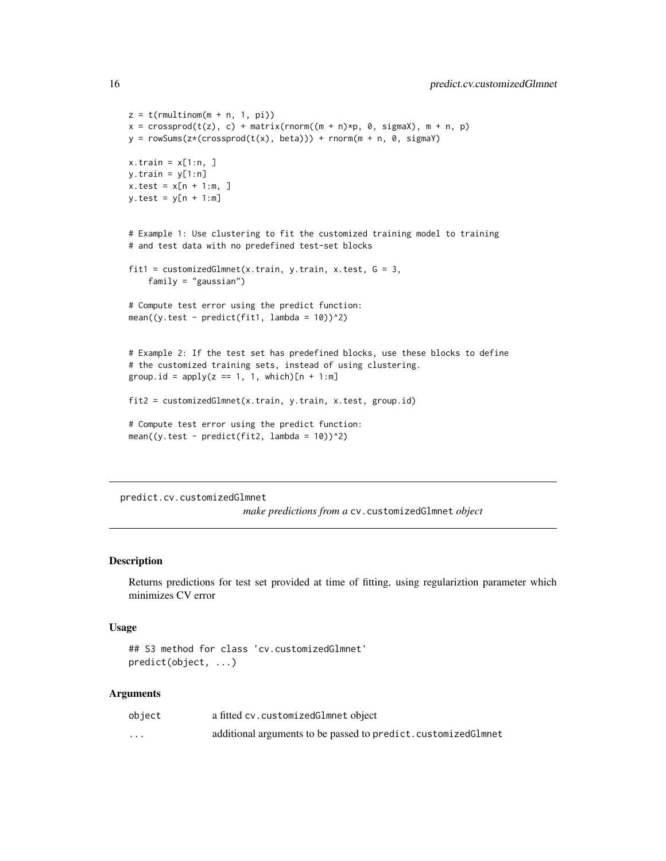```
z = t(rmultinom(m + n, 1, pi))x = crossprod(t(z), c) + matrix(rnorm((m + n)*p, 0, sigmaX), m + n, p)y = rowsums(z*(crossprod(t(x), beta))) + rnorm(m + n, 0, sigmaY)x.train = x[1:n, ]y.train = y[1:n]x.test = x[n + 1:m, ]y.test = y[n + 1:m]# Example 1: Use clustering to fit the customized training model to training
# and test data with no predefined test-set blocks
fit1 = customizedGlmnet(x.train, y.train, x.test, G = 3,
    family = "gaussian")
# Compute test error using the predict function:
mean((y.test - predict(fitt), lambda = 10))^2)# Example 2: If the test set has predefined blocks, use these blocks to define
# the customized training sets, instead of using clustering.
group.id = apply(z == 1, 1, which)[n + 1:m]fit2 = customizedGlmnet(x.train, y.train, x.test, group.id)
# Compute test error using the predict function:
mean((y.test - predict(fit2, lambda = 10))^2)
```

```
predict.cv.customizedGlmnet
```
*make predictions from a* cv.customizedGlmnet *object*

#### Description

Returns predictions for test set provided at time of fitting, using regulariztion parameter which minimizes CV error

# Usage

```
## S3 method for class 'cv.customizedGlmnet'
predict(object, ...)
```
#### Arguments

| object   | a fitted cv.customizedGlmnet object                           |
|----------|---------------------------------------------------------------|
| $\cdots$ | additional arguments to be passed to predict.customizedGlmnet |

<span id="page-15-0"></span>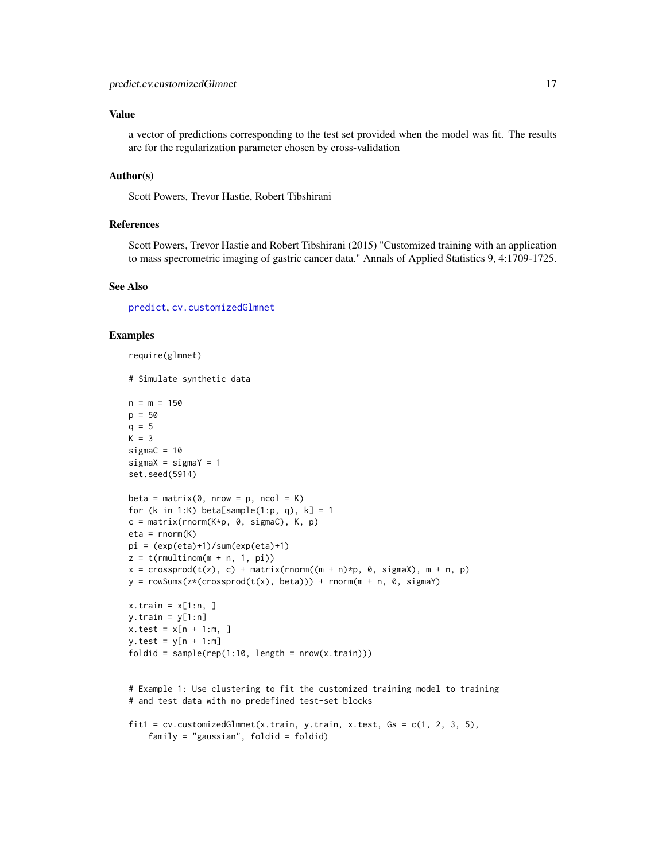#### <span id="page-16-0"></span>Value

a vector of predictions corresponding to the test set provided when the model was fit. The results are for the regularization parameter chosen by cross-validation

#### Author(s)

Scott Powers, Trevor Hastie, Robert Tibshirani

#### References

Scott Powers, Trevor Hastie and Robert Tibshirani (2015) "Customized training with an application to mass specrometric imaging of gastric cancer data." Annals of Applied Statistics 9, 4:1709-1725.

#### See Also

[predict](#page-0-0), [cv.customizedGlmnet](#page-3-1)

```
require(glmnet)
# Simulate synthetic data
n = m = 150p = 50q = 5K = 3sigmaC = 10sigmaX = sigmaY = 1set.seed(5914)
beta = matrix(0, nrow = p, ncol = K)for (k in 1:K) beta[sample(1:p, q), k] = 1
c = matrix(rnorm(K * p, 0, sigmaC), K, p)eta = rnorm(K)pi = (exp(eta)+1)/sum(exp(eta)+1)
z = t(rmultinom(m + n, 1, pi)x = crossprod(t(z), c) + matrix(rnorm((m + n)*p, 0, signaX), m + n, p)y = \text{rowSums}(z*(\text{crossprod}(t(x), \text{beta}))) + \text{norm}(m + n, 0, \text{sigma}Y)x.train = x[1:n, ]y.train = y[1:n]x.test = x[n + 1:m, ]y.test = y[n + 1:m]
foldid = sample(rep(1:10, length = nrow(x.train)))# Example 1: Use clustering to fit the customized training model to training
# and test data with no predefined test-set blocks
fit1 = cv.customizedGlmnet(x.train, y.train, x.test, Gs = <math>c(1, 2, 3, 5)</math>,
```

```
family = "gaussian", foldid = foldid)
```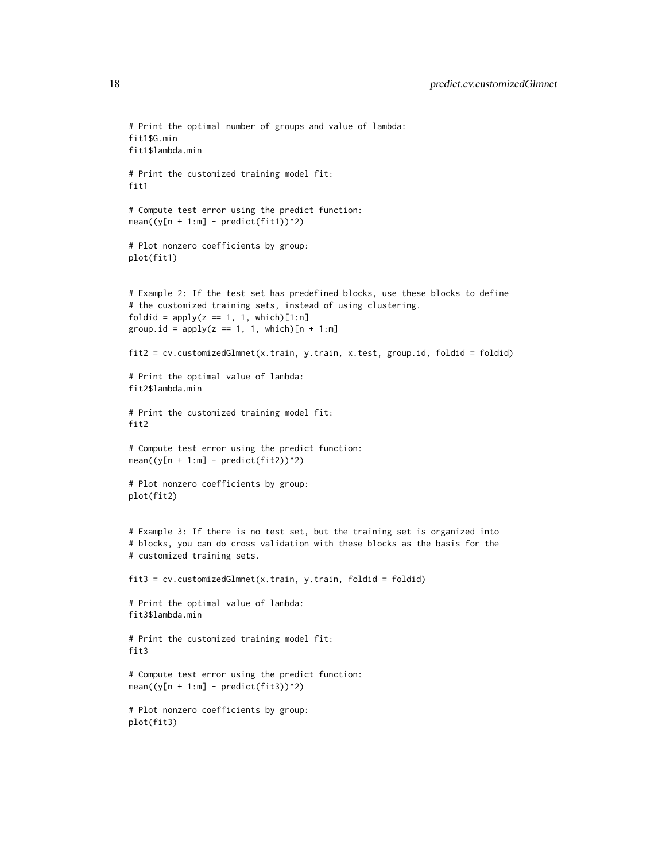```
# Print the optimal number of groups and value of lambda:
fit1$G.min
fit1$lambda.min
# Print the customized training model fit:
fit1
# Compute test error using the predict function:
mean((y[n + 1:m] - predict(fitt))^2)# Plot nonzero coefficients by group:
plot(fit1)
# Example 2: If the test set has predefined blocks, use these blocks to define
# the customized training sets, instead of using clustering.
foldid = apply(z == 1, 1, which)[1:n]group.id = apply(z == 1, 1, which)[n + 1:m]fit2 = cv.customizedGlmnet(x.train, y.train, x.test, group.id, foldid = foldid)
# Print the optimal value of lambda:
fit2$lambda.min
# Print the customized training model fit:
fit2
# Compute test error using the predict function:
mean((y[n + 1:m] - predict(fit2))^2)# Plot nonzero coefficients by group:
plot(fit2)
# Example 3: If there is no test set, but the training set is organized into
# blocks, you can do cross validation with these blocks as the basis for the
# customized training sets.
fits = cv.customizedGlmnet(x.train, y.train, foldid = foldid)# Print the optimal value of lambda:
fit3$lambda.min
# Print the customized training model fit:
fit3
# Compute test error using the predict function:
mean((y[n + 1:m] - predict(fit3))^2)# Plot nonzero coefficients by group:
plot(fit3)
```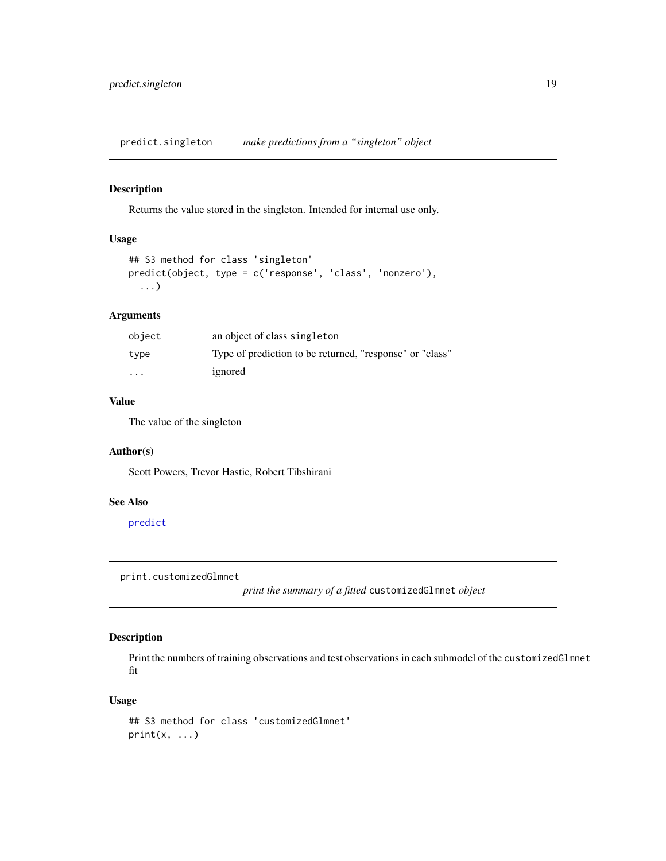<span id="page-18-0"></span>predict.singleton *make predictions from a "singleton" object*

#### Description

Returns the value stored in the singleton. Intended for internal use only.

# Usage

```
## S3 method for class 'singleton'
predict(object, type = c('response', 'class', 'nonzero'),
  ...)
```
# Arguments

| object                  | an object of class singleton                             |
|-------------------------|----------------------------------------------------------|
| type                    | Type of prediction to be returned, "response" or "class" |
| $\cdot$ $\cdot$ $\cdot$ | ignored                                                  |

# Value

The value of the singleton

# Author(s)

Scott Powers, Trevor Hastie, Robert Tibshirani

### See Also

[predict](#page-0-0)

<span id="page-18-1"></span>print.customizedGlmnet

*print the summary of a fitted* customizedGlmnet *object*

# Description

Print the numbers of training observations and test observations in each submodel of the customizedGlmnet fit

#### Usage

```
## S3 method for class 'customizedGlmnet'
print(x, \ldots)
```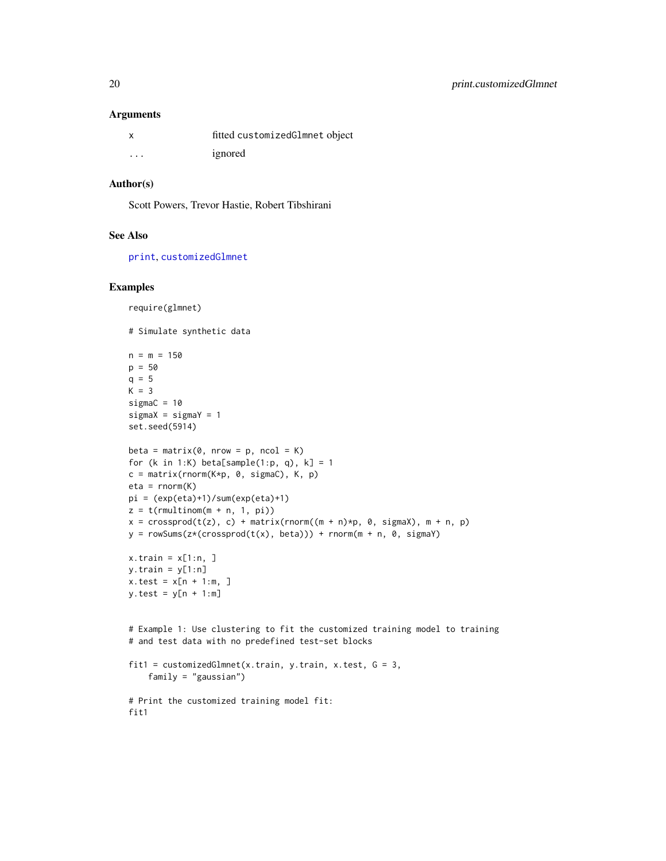#### <span id="page-19-0"></span>Arguments

| X        | fitted customizedGlmnet object |
|----------|--------------------------------|
| $\cdots$ | ignored                        |

# Author(s)

Scott Powers, Trevor Hastie, Robert Tibshirani

#### See Also

[print](#page-0-0), [customizedGlmnet](#page-1-1)

```
require(glmnet)
# Simulate synthetic data
n = m = 150p = 50q = 5K = 3sigmaC = 10sigmaX = sigmaY = 1
set.seed(5914)
beta = matrix(\emptyset, nrow = p, ncol = K)
for (k in 1:K) beta[sample(1:p, q), k] = 1
c = matrix(rnorm(K * p, 0, sigmaC), K, p)eta = rnorm(K)pi = (exp(eta)+1)/sum(exp(eta)+1)
z = t(rmultinom(m + n, 1, pi)x = \text{crossprod}(t(z), c) + \text{matrix}(r \cdot n) \cdot (m + n) \cdot p, 0, \text{sigma} x), m + n, py = rowSums(z*(crossprod(t(x), beta))) + rnorm(m + n, 0, signaY)x.train = x[1:n, ]y.train = y[1:n]x.test = x[n + 1:m, ]y.test = y[n + 1:m]# Example 1: Use clustering to fit the customized training model to training
# and test data with no predefined test-set blocks
fit1 = customizedGlmnet(x.train, y.train, x.test, G = 3,
    family = "gaussian")
# Print the customized training model fit:
fit1
```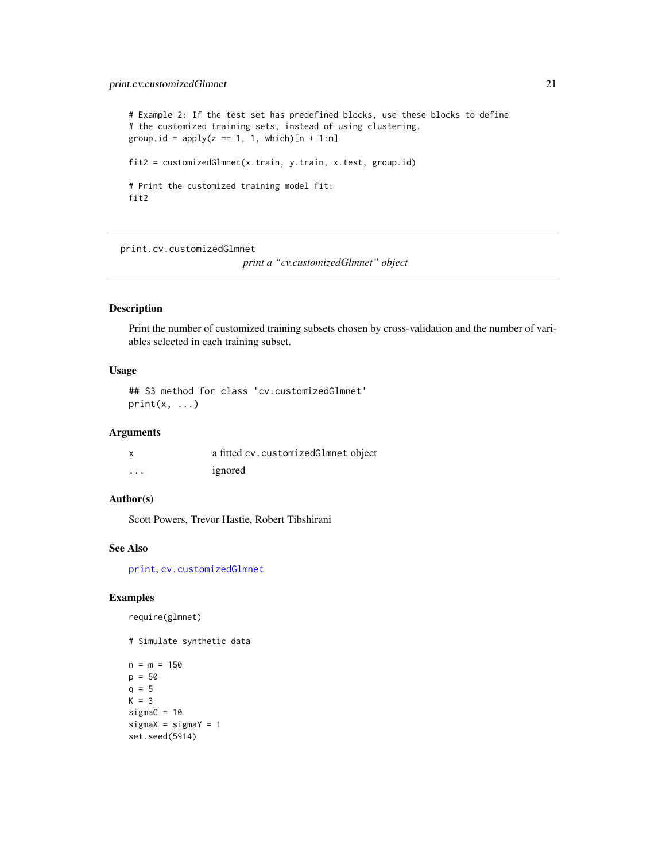# <span id="page-20-0"></span>print.cv.customizedGlmnet 21

```
# Example 2: If the test set has predefined blocks, use these blocks to define
# the customized training sets, instead of using clustering.
group.id = apply(z == 1, 1, which)[n + 1:m]fit2 = customizedGlmnet(x.train, y.train, x.test, group.id)
# Print the customized training model fit:
fit2
```
print.cv.customizedGlmnet

*print a "cv.customizedGlmnet" object*

# Description

Print the number of customized training subsets chosen by cross-validation and the number of variables selected in each training subset.

# Usage

## S3 method for class 'cv.customizedGlmnet'  $print(x, \ldots)$ 

#### Arguments

|          | a fitted cv. customized Glmnet object |
|----------|---------------------------------------|
| $\cdots$ | ignored                               |

#### Author(s)

Scott Powers, Trevor Hastie, Robert Tibshirani

#### See Also

[print](#page-0-0), [cv.customizedGlmnet](#page-3-1)

# Examples

require(glmnet)

# Simulate synthetic data

```
n = m = 150p = 50
q = 5K = 3sigmaC = 10signaX = signaY = 1set.seed(5914)
```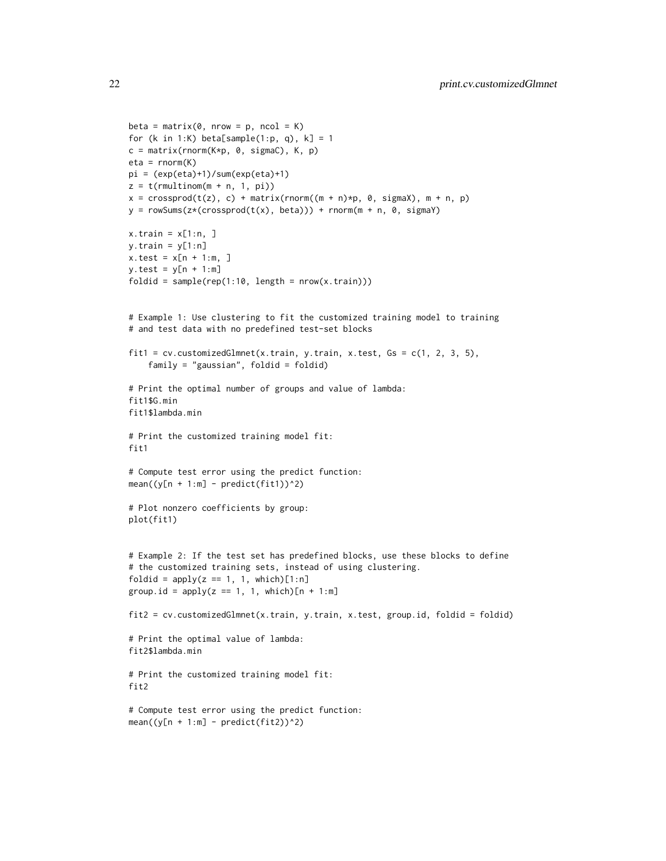```
beta = matrix(0, nrow = p, ncol = K)for (k in 1:K) beta[sample(1:p, q), k] = 1
c = matrix(rnorm(K*p, 0, sigmaC), K, p)eta = rnorm(K)pi = (exp(eta)+1)/sum(exp(eta)+1)
z = t(rmultinom(m + n, 1, pi)x = crossprod(t(z), c) + matrix(rnorm((m + n)*p, 0, sigmaX), m + n, p)y = \text{rowSums}(z * (\text{crossprod}(t(x), \text{beta}))) + \text{norm}(m + n, 0, \text{sigma}Y)x.train = x[1:n, ]y.train = y[1:n]x.test = x[n + 1:m, ]y.test = y[n + 1:m]foldid = sample(rep(1:10, length = nrow(x.train)))# Example 1: Use clustering to fit the customized training model to training
# and test data with no predefined test-set blocks
fit1 = cv.customizedGlmnet(x.train, y.train, x.test, Gs = <math>c(1, 2, 3, 5)</math>,family = "gaussian", foldid = foldid)
# Print the optimal number of groups and value of lambda:
fit1$G.min
fit1$lambda.min
# Print the customized training model fit:
fit1
# Compute test error using the predict function:
mean((y[n + 1:m] - predict(fitt))<sup>2</sup>)
# Plot nonzero coefficients by group:
plot(fit1)
# Example 2: If the test set has predefined blocks, use these blocks to define
# the customized training sets, instead of using clustering.
foldid = apply(z == 1, 1, which)[1:n]group.id = apply(z == 1, 1, which)[n + 1:m]fit2 = cv.customizedGlmnet(x.train, y.train, x.test, group.id, foldid = foldid)
# Print the optimal value of lambda:
fit2$lambda.min
# Print the customized training model fit:
fit2
# Compute test error using the predict function:
mean((y[n + 1:m] - predict(fit2))^2)
```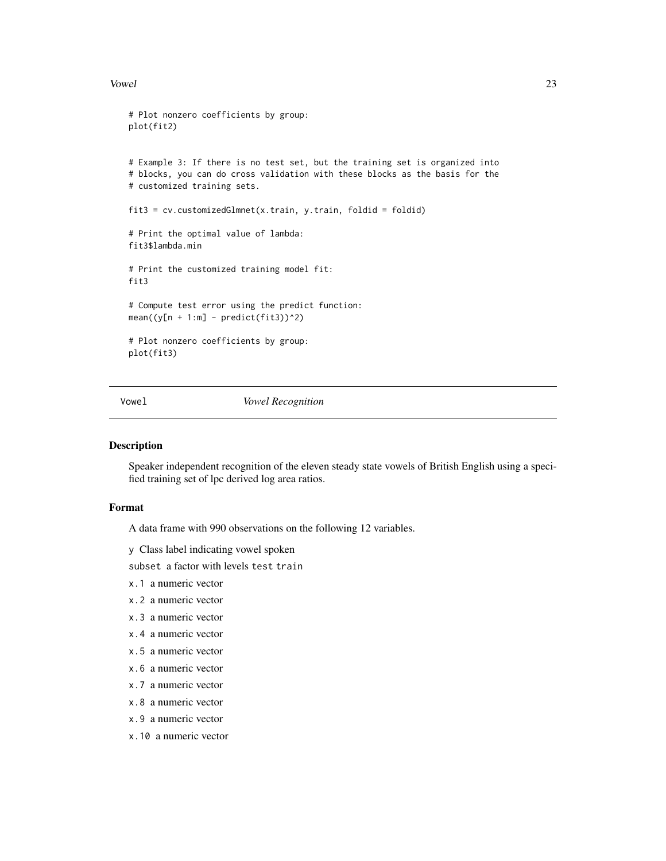#### <span id="page-22-0"></span>Vowel 23

```
# Plot nonzero coefficients by group:
plot(fit2)
# Example 3: If there is no test set, but the training set is organized into
# blocks, you can do cross validation with these blocks as the basis for the
# customized training sets.
fits = cv.customizedGlmnet(x.train, y.train, foldid = foldid)# Print the optimal value of lambda:
fit3$lambda.min
# Print the customized training model fit:
fit3
# Compute test error using the predict function:
mean((y[n + 1:m] - predict(fits))^2)# Plot nonzero coefficients by group:
plot(fit3)
```
Vowel *Vowel Recognition*

#### Description

Speaker independent recognition of the eleven steady state vowels of British English using a specified training set of lpc derived log area ratios.

# Format

A data frame with 990 observations on the following 12 variables.

y Class label indicating vowel spoken

subset a factor with levels test train

- x.1 a numeric vector
- x.2 a numeric vector
- x.3 a numeric vector
- x.4 a numeric vector
- x.5 a numeric vector
- x.6 a numeric vector
- x.7 a numeric vector
- x.8 a numeric vector
- x.9 a numeric vector
- x.10 a numeric vector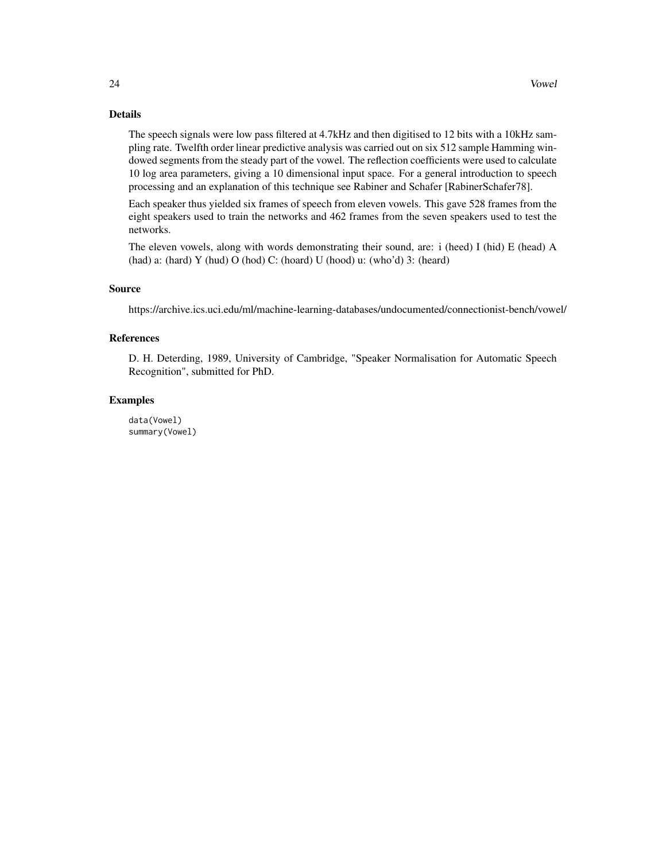# Details

The speech signals were low pass filtered at 4.7kHz and then digitised to 12 bits with a 10kHz sampling rate. Twelfth order linear predictive analysis was carried out on six 512 sample Hamming windowed segments from the steady part of the vowel. The reflection coefficients were used to calculate 10 log area parameters, giving a 10 dimensional input space. For a general introduction to speech processing and an explanation of this technique see Rabiner and Schafer [RabinerSchafer78].

Each speaker thus yielded six frames of speech from eleven vowels. This gave 528 frames from the eight speakers used to train the networks and 462 frames from the seven speakers used to test the networks.

The eleven vowels, along with words demonstrating their sound, are: i (heed) I (hid) E (head) A (had) a: (hard) Y (hud) O (hod) C: (hoard) U (hood) u: (who'd) 3: (heard)

#### Source

https://archive.ics.uci.edu/ml/machine-learning-databases/undocumented/connectionist-bench/vowel/

#### References

D. H. Deterding, 1989, University of Cambridge, "Speaker Normalisation for Automatic Speech Recognition", submitted for PhD.

### Examples

data(Vowel) summary(Vowel)